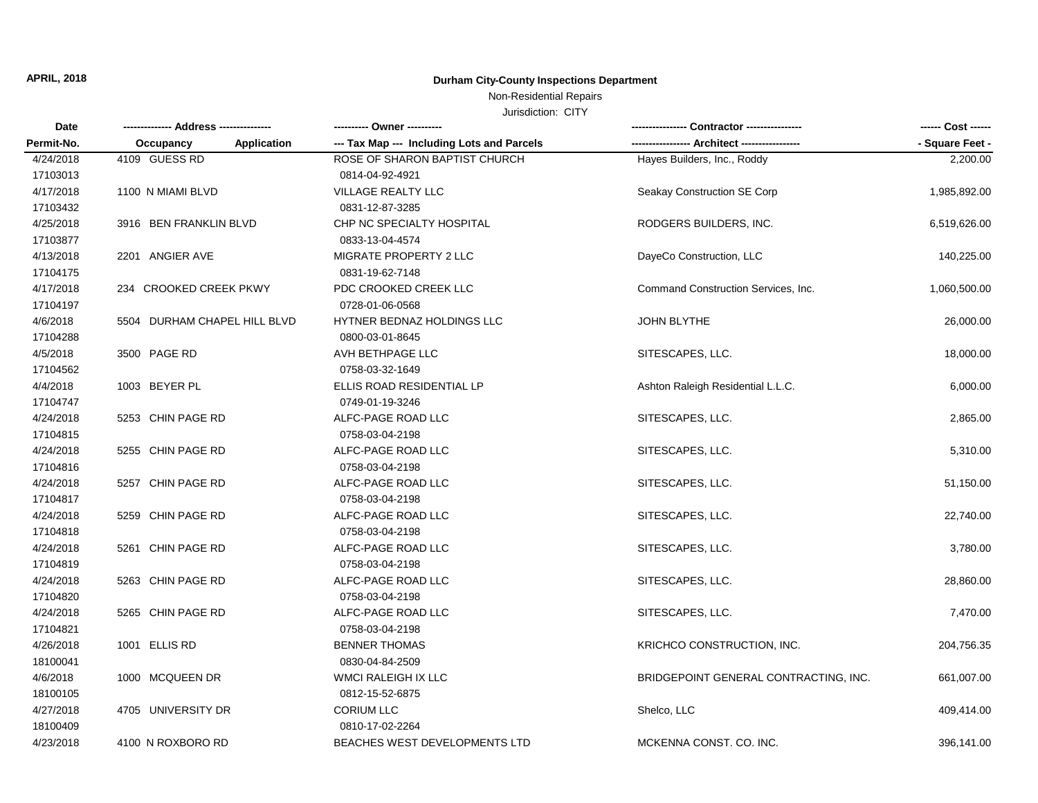# Non-Residential Repairs

| Date       | ------------- Address --------------- |                    | ---------- Owner ----------                |                                       |                 |
|------------|---------------------------------------|--------------------|--------------------------------------------|---------------------------------------|-----------------|
| Permit-No. | Occupancy                             | <b>Application</b> | --- Tax Map --- Including Lots and Parcels | ---- Architect -----------            | - Square Feet - |
| 4/24/2018  | 4109 GUESS RD                         |                    | ROSE OF SHARON BAPTIST CHURCH              | Hayes Builders, Inc., Roddy           | 2,200.00        |
| 17103013   |                                       |                    | 0814-04-92-4921                            |                                       |                 |
| 4/17/2018  | 1100 N MIAMI BLVD                     |                    | VILLAGE REALTY LLC                         | Seakay Construction SE Corp           | 1,985,892.00    |
| 17103432   |                                       |                    | 0831-12-87-3285                            |                                       |                 |
| 4/25/2018  | 3916 BEN FRANKLIN BLVD                |                    | CHP NC SPECIALTY HOSPITAL                  | RODGERS BUILDERS, INC.                | 6,519,626.00    |
| 17103877   |                                       |                    | 0833-13-04-4574                            |                                       |                 |
| 4/13/2018  | 2201 ANGIER AVE                       |                    | MIGRATE PROPERTY 2 LLC                     | DayeCo Construction, LLC              | 140,225.00      |
| 17104175   |                                       |                    | 0831-19-62-7148                            |                                       |                 |
| 4/17/2018  | 234 CROOKED CREEK PKWY                |                    | PDC CROOKED CREEK LLC                      | Command Construction Services, Inc.   | 1,060,500.00    |
| 17104197   |                                       |                    | 0728-01-06-0568                            |                                       |                 |
| 4/6/2018   | 5504 DURHAM CHAPEL HILL BLVD          |                    | HYTNER BEDNAZ HOLDINGS LLC                 | <b>JOHN BLYTHE</b>                    | 26,000.00       |
| 17104288   |                                       |                    | 0800-03-01-8645                            |                                       |                 |
| 4/5/2018   | 3500 PAGE RD                          |                    | AVH BETHPAGE LLC                           | SITESCAPES, LLC.                      | 18,000.00       |
| 17104562   |                                       |                    | 0758-03-32-1649                            |                                       |                 |
| 4/4/2018   | 1003 BEYER PL                         |                    | ELLIS ROAD RESIDENTIAL LP                  | Ashton Raleigh Residential L.L.C.     | 6,000.00        |
| 17104747   |                                       |                    | 0749-01-19-3246                            |                                       |                 |
| 4/24/2018  | 5253 CHIN PAGE RD                     |                    | ALFC-PAGE ROAD LLC                         | SITESCAPES, LLC.                      | 2,865.00        |
| 17104815   |                                       |                    | 0758-03-04-2198                            |                                       |                 |
| 4/24/2018  | 5255 CHIN PAGE RD                     |                    | ALFC-PAGE ROAD LLC                         | SITESCAPES, LLC.                      | 5,310.00        |
| 17104816   |                                       |                    | 0758-03-04-2198                            |                                       |                 |
| 4/24/2018  | 5257 CHIN PAGE RD                     |                    | ALFC-PAGE ROAD LLC                         | SITESCAPES, LLC.                      | 51,150.00       |
| 17104817   |                                       |                    | 0758-03-04-2198                            |                                       |                 |
| 4/24/2018  | 5259 CHIN PAGE RD                     |                    | ALFC-PAGE ROAD LLC                         | SITESCAPES, LLC.                      | 22,740.00       |
| 17104818   |                                       |                    | 0758-03-04-2198                            |                                       |                 |
| 4/24/2018  | 5261 CHIN PAGE RD                     |                    | ALFC-PAGE ROAD LLC                         | SITESCAPES, LLC.                      | 3,780.00        |
| 17104819   |                                       |                    | 0758-03-04-2198                            |                                       |                 |
| 4/24/2018  | 5263 CHIN PAGE RD                     |                    | ALFC-PAGE ROAD LLC                         | SITESCAPES, LLC.                      | 28,860.00       |
| 17104820   |                                       |                    | 0758-03-04-2198                            |                                       |                 |
| 4/24/2018  | 5265 CHIN PAGE RD                     |                    | ALFC-PAGE ROAD LLC                         | SITESCAPES, LLC.                      | 7,470.00        |
| 17104821   |                                       |                    | 0758-03-04-2198                            |                                       |                 |
| 4/26/2018  | 1001 ELLIS RD                         |                    | <b>BENNER THOMAS</b>                       | KRICHCO CONSTRUCTION, INC.            | 204,756.35      |
| 18100041   |                                       |                    | 0830-04-84-2509                            |                                       |                 |
| 4/6/2018   | 1000 MCQUEEN DR                       |                    | <b>WMCI RALEIGH IX LLC</b>                 | BRIDGEPOINT GENERAL CONTRACTING, INC. | 661,007.00      |
| 18100105   |                                       |                    | 0812-15-52-6875                            |                                       |                 |
| 4/27/2018  | 4705 UNIVERSITY DR                    |                    | <b>CORIUM LLC</b>                          | Shelco, LLC                           | 409,414.00      |
| 18100409   |                                       |                    | 0810-17-02-2264                            |                                       |                 |
| 4/23/2018  | 4100 N ROXBORO RD                     |                    | BEACHES WEST DEVELOPMENTS LTD              | MCKENNA CONST. CO. INC.               | 396,141.00      |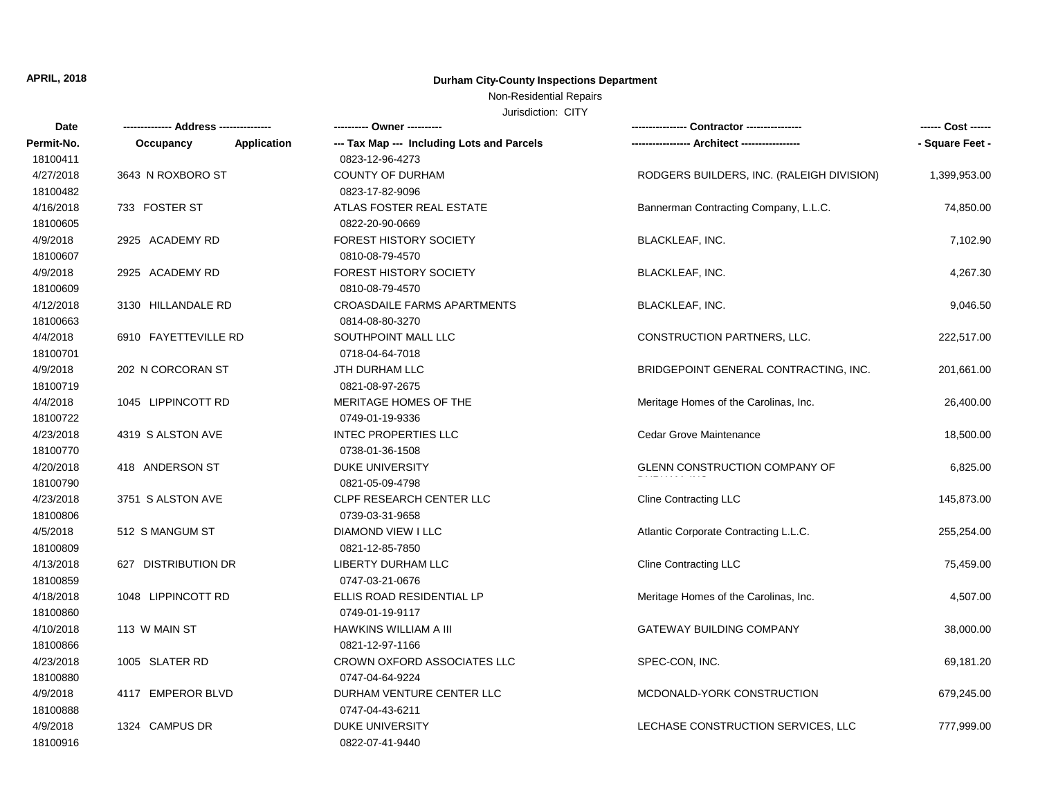### Non-Residential Repairs

| <b>Date</b> |                      |             | ---------- Owner ----------                | -- Contractor ----------------            | ------ Cost ------ |
|-------------|----------------------|-------------|--------------------------------------------|-------------------------------------------|--------------------|
| Permit-No.  | Occupancy            | Application | --- Tax Map --- Including Lots and Parcels |                                           | - Square Feet -    |
| 18100411    |                      |             | 0823-12-96-4273                            |                                           |                    |
| 4/27/2018   | 3643 N ROXBORO ST    |             | <b>COUNTY OF DURHAM</b>                    | RODGERS BUILDERS, INC. (RALEIGH DIVISION) | 1,399,953.00       |
| 18100482    |                      |             | 0823-17-82-9096                            |                                           |                    |
| 4/16/2018   | 733 FOSTER ST        |             | ATLAS FOSTER REAL ESTATE                   | Bannerman Contracting Company, L.L.C.     | 74,850.00          |
| 18100605    |                      |             | 0822-20-90-0669                            |                                           |                    |
| 4/9/2018    | 2925 ACADEMY RD      |             | <b>FOREST HISTORY SOCIETY</b>              | <b>BLACKLEAF, INC.</b>                    | 7,102.90           |
| 18100607    |                      |             | 0810-08-79-4570                            |                                           |                    |
| 4/9/2018    | 2925 ACADEMY RD      |             | <b>FOREST HISTORY SOCIETY</b>              | <b>BLACKLEAF, INC.</b>                    | 4,267.30           |
| 18100609    |                      |             | 0810-08-79-4570                            |                                           |                    |
| 4/12/2018   | 3130 HILLANDALE RD   |             | <b>CROASDAILE FARMS APARTMENTS</b>         | <b>BLACKLEAF, INC.</b>                    | 9,046.50           |
| 18100663    |                      |             | 0814-08-80-3270                            |                                           |                    |
| 4/4/2018    | 6910 FAYETTEVILLE RD |             | SOUTHPOINT MALL LLC                        | CONSTRUCTION PARTNERS, LLC.               | 222,517.00         |
| 18100701    |                      |             | 0718-04-64-7018                            |                                           |                    |
| 4/9/2018    | 202 N CORCORAN ST    |             | JTH DURHAM LLC                             | BRIDGEPOINT GENERAL CONTRACTING, INC.     | 201,661.00         |
| 18100719    |                      |             | 0821-08-97-2675                            |                                           |                    |
| 4/4/2018    | 1045 LIPPINCOTT RD   |             | MERITAGE HOMES OF THE                      | Meritage Homes of the Carolinas, Inc.     | 26,400.00          |
| 18100722    |                      |             | 0749-01-19-9336                            |                                           |                    |
| 4/23/2018   | 4319 S ALSTON AVE    |             | <b>INTEC PROPERTIES LLC</b>                | <b>Cedar Grove Maintenance</b>            | 18,500.00          |
| 18100770    |                      |             | 0738-01-36-1508                            |                                           |                    |
| 4/20/2018   | 418 ANDERSON ST      |             | <b>DUKE UNIVERSITY</b>                     | <b>GLENN CONSTRUCTION COMPANY OF</b>      | 6,825.00           |
| 18100790    |                      |             | 0821-05-09-4798                            |                                           |                    |
| 4/23/2018   | 3751 S ALSTON AVE    |             | <b>CLPF RESEARCH CENTER LLC</b>            | <b>Cline Contracting LLC</b>              | 145,873.00         |
| 18100806    |                      |             | 0739-03-31-9658                            |                                           |                    |
| 4/5/2018    | 512 S MANGUM ST      |             | DIAMOND VIEW I LLC                         | Atlantic Corporate Contracting L.L.C.     | 255,254.00         |
| 18100809    |                      |             | 0821-12-85-7850                            |                                           |                    |
| 4/13/2018   | 627 DISTRIBUTION DR  |             | LIBERTY DURHAM LLC                         | <b>Cline Contracting LLC</b>              | 75,459.00          |
| 18100859    |                      |             | 0747-03-21-0676                            |                                           |                    |
| 4/18/2018   | 1048 LIPPINCOTT RD   |             | ELLIS ROAD RESIDENTIAL LP                  | Meritage Homes of the Carolinas, Inc.     | 4,507.00           |
| 18100860    |                      |             | 0749-01-19-9117                            |                                           |                    |
| 4/10/2018   | 113 W MAIN ST        |             | HAWKINS WILLIAM A III                      | <b>GATEWAY BUILDING COMPANY</b>           | 38,000.00          |
| 18100866    |                      |             | 0821-12-97-1166                            |                                           |                    |
| 4/23/2018   | 1005 SLATER RD       |             | <b>CROWN OXFORD ASSOCIATES LLC</b>         | SPEC-CON, INC.                            | 69,181.20          |
| 18100880    |                      |             | 0747-04-64-9224                            |                                           |                    |
| 4/9/2018    | 4117 EMPEROR BLVD    |             | DURHAM VENTURE CENTER LLC                  | MCDONALD-YORK CONSTRUCTION                | 679,245.00         |
| 18100888    |                      |             | 0747-04-43-6211                            |                                           |                    |
| 4/9/2018    | 1324 CAMPUS DR       |             | <b>DUKE UNIVERSITY</b>                     | LECHASE CONSTRUCTION SERVICES, LLC        | 777,999.00         |
| 18100916    |                      |             | 0822-07-41-9440                            |                                           |                    |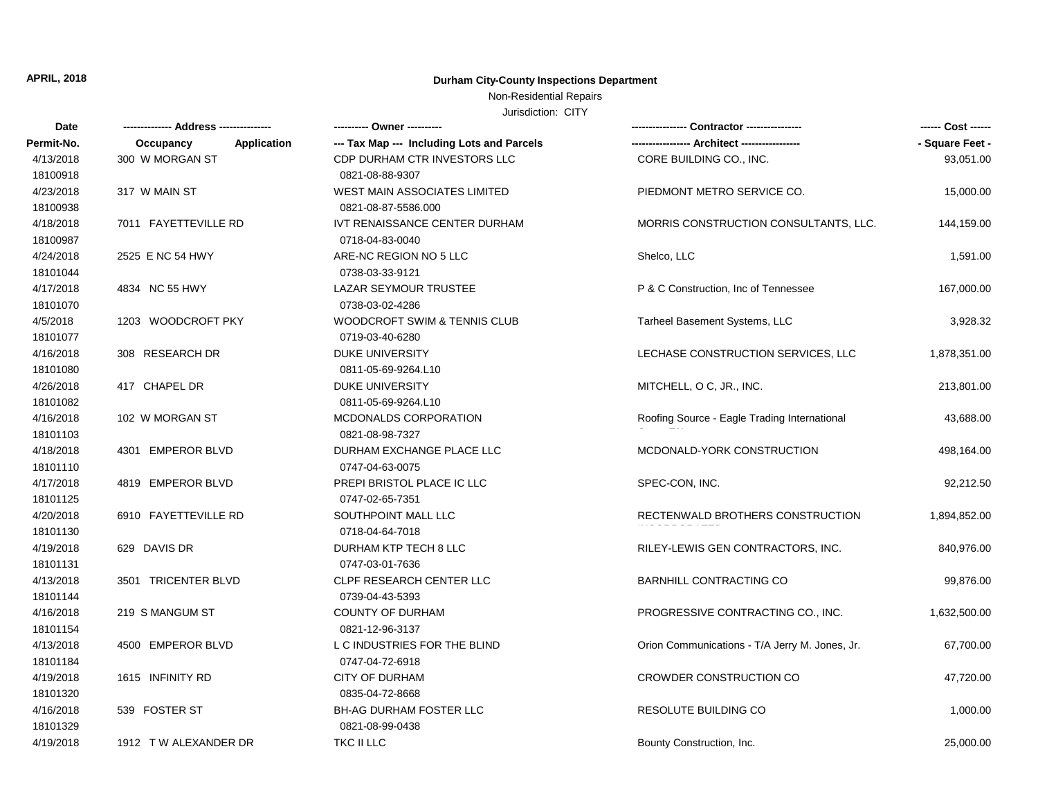### Non-Residential Repairs

| Date       |                          |                                            |                                                | ------ Cost ------ |
|------------|--------------------------|--------------------------------------------|------------------------------------------------|--------------------|
| Permit-No. | Occupancy<br>Application | --- Tax Map --- Including Lots and Parcels |                                                | - Square Feet -    |
| 4/13/2018  | 300 W MORGAN ST          | CDP DURHAM CTR INVESTORS LLC               | CORE BUILDING CO., INC.                        | 93,051.00          |
| 18100918   |                          | 0821-08-88-9307                            |                                                |                    |
| 4/23/2018  | 317 W MAIN ST            | WEST MAIN ASSOCIATES LIMITED               | PIEDMONT METRO SERVICE CO.                     | 15,000.00          |
| 18100938   |                          | 0821-08-87-5586.000                        |                                                |                    |
| 4/18/2018  | 7011 FAYETTEVILLE RD     | IVT RENAISSANCE CENTER DURHAM              | MORRIS CONSTRUCTION CONSULTANTS, LLC.          | 144,159.00         |
| 18100987   |                          | 0718-04-83-0040                            |                                                |                    |
| 4/24/2018  | 2525 E NC 54 HWY         | ARE-NC REGION NO 5 LLC                     | Shelco, LLC                                    | 1,591.00           |
| 18101044   |                          | 0738-03-33-9121                            |                                                |                    |
| 4/17/2018  | 4834 NC 55 HWY           | LAZAR SEYMOUR TRUSTEE                      | P & C Construction, Inc of Tennessee           | 167,000.00         |
| 18101070   |                          | 0738-03-02-4286                            |                                                |                    |
| 4/5/2018   | 1203 WOODCROFT PKY       | WOODCROFT SWIM & TENNIS CLUB               | Tarheel Basement Systems, LLC                  | 3,928.32           |
| 18101077   |                          | 0719-03-40-6280                            |                                                |                    |
| 4/16/2018  | 308 RESEARCH DR          | <b>DUKE UNIVERSITY</b>                     | LECHASE CONSTRUCTION SERVICES, LLC             | 1,878,351.00       |
| 18101080   |                          | 0811-05-69-9264.L10                        |                                                |                    |
| 4/26/2018  | 417 CHAPEL DR            | <b>DUKE UNIVERSITY</b>                     | MITCHELL, O C, JR., INC.                       | 213,801.00         |
| 18101082   |                          | 0811-05-69-9264.L10                        |                                                |                    |
| 4/16/2018  | 102 W MORGAN ST          | MCDONALDS CORPORATION                      | Roofing Source - Eagle Trading International   | 43,688.00          |
| 18101103   |                          | 0821-08-98-7327                            |                                                |                    |
| 4/18/2018  | 4301 EMPEROR BLVD        | DURHAM EXCHANGE PLACE LLC                  | MCDONALD-YORK CONSTRUCTION                     | 498,164.00         |
| 18101110   |                          | 0747-04-63-0075                            |                                                |                    |
| 4/17/2018  | 4819 EMPEROR BLVD        | PREPI BRISTOL PLACE IC LLC                 | SPEC-CON, INC.                                 | 92,212.50          |
| 18101125   |                          | 0747-02-65-7351                            |                                                |                    |
| 4/20/2018  | 6910 FAYETTEVILLE RD     | SOUTHPOINT MALL LLC                        | RECTENWALD BROTHERS CONSTRUCTION               | 1,894,852.00       |
| 18101130   |                          | 0718-04-64-7018                            |                                                |                    |
| 4/19/2018  | 629 DAVIS DR             | DURHAM KTP TECH 8 LLC                      | RILEY-LEWIS GEN CONTRACTORS, INC.              | 840,976.00         |
| 18101131   |                          | 0747-03-01-7636                            |                                                |                    |
| 4/13/2018  | 3501 TRICENTER BLVD      | <b>CLPF RESEARCH CENTER LLC</b>            | <b>BARNHILL CONTRACTING CO</b>                 | 99,876.00          |
| 18101144   |                          | 0739-04-43-5393                            |                                                |                    |
| 4/16/2018  | 219 S MANGUM ST          | <b>COUNTY OF DURHAM</b>                    | PROGRESSIVE CONTRACTING CO., INC.              | 1,632,500.00       |
| 18101154   |                          | 0821-12-96-3137                            |                                                |                    |
| 4/13/2018  | 4500 EMPEROR BLVD        | L C INDUSTRIES FOR THE BLIND               | Orion Communications - T/A Jerry M. Jones, Jr. | 67,700.00          |
| 18101184   |                          | 0747-04-72-6918                            |                                                |                    |
| 4/19/2018  | 1615 INFINITY RD         | <b>CITY OF DURHAM</b>                      | CROWDER CONSTRUCTION CO                        | 47,720.00          |
| 18101320   |                          | 0835-04-72-8668                            |                                                |                    |
| 4/16/2018  | 539 FOSTER ST            | <b>BH-AG DURHAM FOSTER LLC</b>             | RESOLUTE BUILDING CO                           | 1,000.00           |
| 18101329   |                          | 0821-08-99-0438                            |                                                |                    |
| 4/19/2018  | 1912 TW ALEXANDER DR     | TKC II LLC                                 | Bounty Construction, Inc.                      | 25,000.00          |